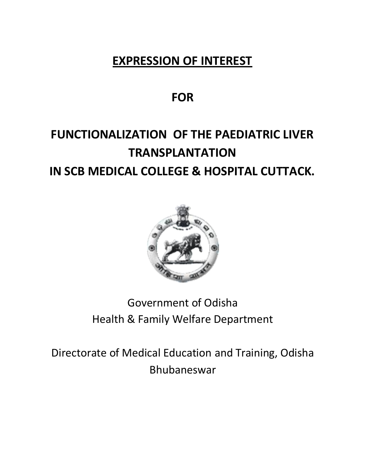## **EXPRESSION OF INTEREST**

## **FOR**

# **FUNCTIONALIZATION OF THE PAEDIATRIC LIVER TRANSPLANTATION IN SCB MEDICAL COLLEGE & HOSPITAL CUTTACK.**



# Government of Odisha Health & Family Welfare Department

Directorate of Medical Education and Training, Odisha Bhubaneswar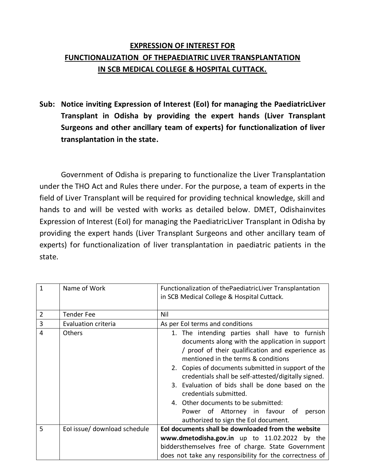## **EXPRESSION OF INTEREST FOR FUNCTIONALIZATION OF THEPAEDIATRIC LIVER TRANSPLANTATION IN SCB MEDICAL COLLEGE & HOSPITAL CUTTACK.**

**Sub: Notice inviting Expression of Interest (EoI) for managing the PaediatricLiver Transplant in Odisha by providing the expert hands (Liver Transplant Surgeons and other ancillary team of experts) for functionalization of liver transplantation in the state.**

Government of Odisha is preparing to functionalize the Liver Transplantation under the THO Act and Rules there under. For the purpose, a team of experts in the field of Liver Transplant will be required for providing technical knowledge, skill and hands to and will be vested with works as detailed below. DMET, Odishainvites Expression of Interest (EoI) for managing the PaediatricLiver Transplant in Odisha by providing the expert hands (Liver Transplant Surgeons and other ancillary team of experts) for functionalization of liver transplantation in paediatric patients in the state.

| 1 | Name of Work                 | Functionalization of the Paediatric Liver Transplantation<br>in SCB Medical College & Hospital Cuttack.                                                                                                                                                                                                                                                                                                                                                                                                             |  |
|---|------------------------------|---------------------------------------------------------------------------------------------------------------------------------------------------------------------------------------------------------------------------------------------------------------------------------------------------------------------------------------------------------------------------------------------------------------------------------------------------------------------------------------------------------------------|--|
| 2 | <b>Tender Fee</b>            | Nil                                                                                                                                                                                                                                                                                                                                                                                                                                                                                                                 |  |
| 3 | Evaluation criteria          | As per EoI terms and conditions                                                                                                                                                                                                                                                                                                                                                                                                                                                                                     |  |
| 4 | Others                       | 1. The intending parties shall have to furnish<br>documents along with the application in support<br>/ proof of their qualification and experience as<br>mentioned in the terms & conditions<br>2. Copies of documents submitted in support of the<br>credentials shall be self-attested/digitally signed.<br>3. Evaluation of bids shall be done based on the<br>credentials submitted.<br>4. Other documents to be submitted:<br>Power of Attorney in favour of<br>person<br>authorized to sign the EoI document. |  |
| 5 | Eol issue/ download schedule | Eol documents shall be downloaded from the website                                                                                                                                                                                                                                                                                                                                                                                                                                                                  |  |
|   |                              | www.dmetodisha.gov.in up to 11.02.2022 by the<br>biddersthemselves free of charge. State Government<br>does not take any responsibility for the correctness of                                                                                                                                                                                                                                                                                                                                                      |  |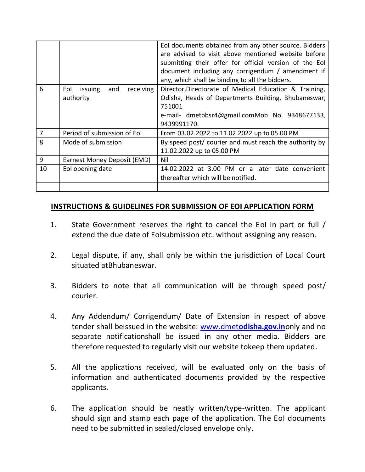|                |                                                 | EoI documents obtained from any other source. Bidders<br>are advised to visit above mentioned website before<br>submitting their offer for official version of the Eol<br>document including any corrigendum / amendment if<br>any, which shall be binding to all the bidders. |
|----------------|-------------------------------------------------|--------------------------------------------------------------------------------------------------------------------------------------------------------------------------------------------------------------------------------------------------------------------------------|
| 6              | and<br>receiving<br>Eol<br>issuing<br>authority | Director, Directorate of Medical Education & Training,<br>Odisha, Heads of Departments Building, Bhubaneswar,<br>751001<br>e-mail- dmetbbsr4@gmail.comMob No. 9348677133,<br>9439991170.                                                                                       |
| $\overline{7}$ | Period of submission of EoI                     | From 03.02.2022 to 11.02.2022 up to 05.00 PM                                                                                                                                                                                                                                   |
| 8              | Mode of submission                              | By speed post/ courier and must reach the authority by<br>11.02.2022 up to 05.00 PM                                                                                                                                                                                            |
| 9              | Earnest Money Deposit (EMD)                     | Nil                                                                                                                                                                                                                                                                            |
| 10             | Eol opening date                                | 14.02.2022 at 3.00 PM or a later date convenient<br>thereafter which will be notified.                                                                                                                                                                                         |
|                |                                                 |                                                                                                                                                                                                                                                                                |

#### **INSTRUCTIONS & GUIDELINES FOR SUBMISSION OF EOI APPLICATION FORM**

- 1. State Government reserves the right to cancel the EoI in part or full / extend the due date of EoIsubmission etc. without assigning any reason.
- 2. Legal dispute, if any, shall only be within the jurisdiction of Local Court situated atBhubaneswar.
- 3. Bidders to note that all communication will be through speed post/ courier.
- 4. Any Addendum/ Corrigendum/ Date of Extension in respect of above tender shall beissued in the website: www.dmet**[odisha.gov.in](http://www.dmetodisha.gov.in/)**only and no separate notificationshall be issued in any other media. Bidders are therefore requested to regularly visit our website tokeep them updated.
- 5. All the applications received, will be evaluated only on the basis of information and authenticated documents provided by the respective applicants.
- 6. The application should be neatly written/type-written. The applicant should sign and stamp each page of the application. The EoI documents need to be submitted in sealed/closed envelope only.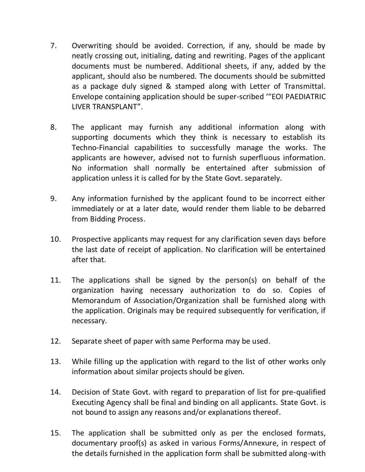- 7. Overwriting should be avoided. Correction, if any, should be made by neatly crossing out, initialing, dating and rewriting. Pages of the applicant documents must be numbered. Additional sheets, if any, added by the applicant, should also be numbered. The documents should be submitted as a package duly signed & stamped along with Letter of Transmittal. Envelope containing application should be super-scribed '"EOI PAEDIATRIC LIVER TRANSPLANT".
- 8. The applicant may furnish any additional information along with supporting documents which they think is necessary to establish its Techno-Financial capabilities to successfully manage the works. The applicants are however, advised not to furnish superfluous information. No information shall normally be entertained after submission of application unless it is called for by the State Govt. separately.
- 9. Any information furnished by the applicant found to be incorrect either immediately or at a later date, would render them liable to be debarred from Bidding Process.
- 10. Prospective applicants may request for any clarification seven days before the last date of receipt of application. No clarification will be entertained after that.
- 11. The applications shall be signed by the person(s) on behalf of the organization having necessary authorization to do so. Copies of Memorandum of Association/Organization shall be furnished along with the application. Originals may be required subsequently for verification, if necessary.
- 12. Separate sheet of paper with same Performa may be used.
- 13. While filling up the application with regard to the list of other works only information about similar projects should be given.
- 14. Decision of State Govt. with regard to preparation of list for pre-qualified Executing Agency shall be final and binding on all applicants. State Govt. is not bound to assign any reasons and/or explanations thereof.
- 15. The application shall be submitted only as per the enclosed formats, documentary proof(s) as asked in various Forms/Annexure, in respect of the details furnished in the application form shall be submitted along-with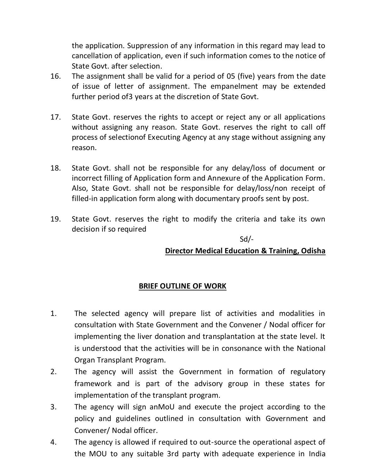the application. Suppression of any information in this regard may lead to cancellation of application, even if such information comes to the notice of State Govt. after selection.

- 16. The assignment shall be valid for a period of 05 (five) years from the date of issue of letter of assignment. The empanelment may be extended further period of3 years at the discretion of State Govt.
- 17. State Govt. reserves the rights to accept or reject any or all applications without assigning any reason. State Govt. reserves the right to call off process of selectionof Executing Agency at any stage without assigning any reason.
- 18. State Govt. shall not be responsible for any delay/loss of document or incorrect filling of Application form and Annexure of the Application Form. Also, State Govt. shall not be responsible for delay/loss/non receipt of filled-in application form along with documentary proofs sent by post.
- 19. State Govt. reserves the right to modify the criteria and take its own decision if so required

Sd/-

#### **Director Medical Education & Training, Odisha**

#### **BRIEF OUTLINE OF WORK**

- 1. The selected agency will prepare list of activities and modalities in consultation with State Government and the Convener / Nodal officer for implementing the liver donation and transplantation at the state level. It is understood that the activities will be in consonance with the National Organ Transplant Program.
- 2. The agency will assist the Government in formation of regulatory framework and is part of the advisory group in these states for implementation of the transplant program.
- 3. The agency will sign anMoU and execute the project according to the policy and guidelines outlined in consultation with Government and Convener/ Nodal officer.
- 4. The agency is allowed if required to out-source the operational aspect of the MOU to any suitable 3rd party with adequate experience in India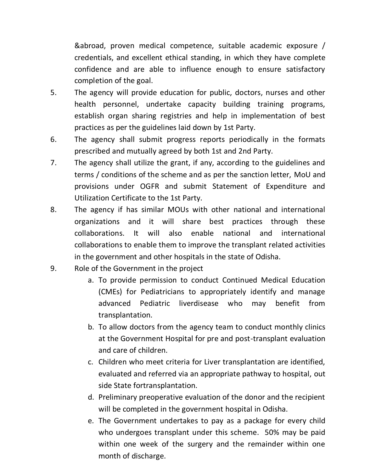&abroad, proven medical competence, suitable academic exposure / credentials, and excellent ethical standing, in which they have complete confidence and are able to influence enough to ensure satisfactory completion of the goal.

- 5. The agency will provide education for public, doctors, nurses and other health personnel, undertake capacity building training programs, establish organ sharing registries and help in implementation of best practices as per the guidelines laid down by 1st Party.
- 6. The agency shall submit progress reports periodically in the formats prescribed and mutually agreed by both 1st and 2nd Party.
- 7. The agency shall utilize the grant, if any, according to the guidelines and terms / conditions of the scheme and as per the sanction letter, MoU and provisions under OGFR and submit Statement of Expenditure and Utilization Certificate to the 1st Party.
- 8. The agency if has similar MOUs with other national and international organizations and it will share best practices through these collaborations. It will also enable national and international collaborations to enable them to improve the transplant related activities in the government and other hospitals in the state of Odisha.
- 9. Role of the Government in the project
	- a. To provide permission to conduct Continued Medical Education (CMEs) for Pediatricians to appropriately identify and manage advanced Pediatric liverdisease who may benefit from transplantation.
	- b. To allow doctors from the agency team to conduct monthly clinics at the Government Hospital for pre and post-transplant evaluation and care of children.
	- c. Children who meet criteria for Liver transplantation are identified, evaluated and referred via an appropriate pathway to hospital, out side State fortransplantation.
	- d. Preliminary preoperative evaluation of the donor and the recipient will be completed in the government hospital in Odisha.
	- e. The Government undertakes to pay as a package for every child who undergoes transplant under this scheme. 50% may be paid within one week of the surgery and the remainder within one month of discharge.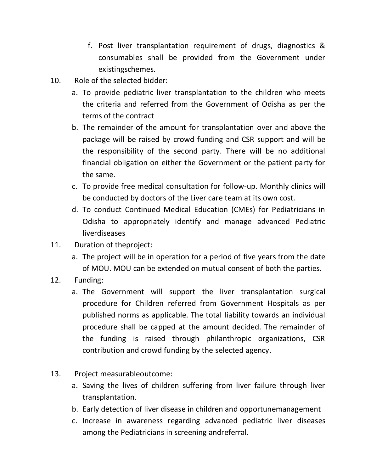- f. Post liver transplantation requirement of drugs, diagnostics & consumables shall be provided from the Government under existingschemes.
- 10. Role of the selected bidder:
	- a. To provide pediatric liver transplantation to the children who meets the criteria and referred from the Government of Odisha as per the terms of the contract
	- b. The remainder of the amount for transplantation over and above the package will be raised by crowd funding and CSR support and will be the responsibility of the second party. There will be no additional financial obligation on either the Government or the patient party for the same.
	- c. To provide free medical consultation for follow-up. Monthly clinics will be conducted by doctors of the Liver care team at its own cost.
	- d. To conduct Continued Medical Education (CMEs) for Pediatricians in Odisha to appropriately identify and manage advanced Pediatric liverdiseases
- 11. Duration of theproject:
	- a. The project will be in operation for a period of five years from the date of MOU. MOU can be extended on mutual consent of both the parties.
- 12. Funding:
	- a. The Government will support the liver transplantation surgical procedure for Children referred from Government Hospitals as per published norms as applicable. The total liability towards an individual procedure shall be capped at the amount decided. The remainder of the funding is raised through philanthropic organizations, CSR contribution and crowd funding by the selected agency.
- 13. Project measurableoutcome:
	- a. Saving the lives of children suffering from liver failure through liver transplantation.
	- b. Early detection of liver disease in children and opportunemanagement
	- c. Increase in awareness regarding advanced pediatric liver diseases among the Pediatricians in screening andreferral.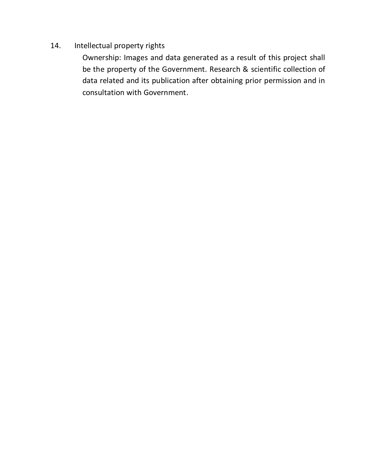### 14. Intellectual property rights

Ownership: Images and data generated as a result of this project shall be the property of the Government. Research & scientific collection of data related and its publication after obtaining prior permission and in consultation with Government.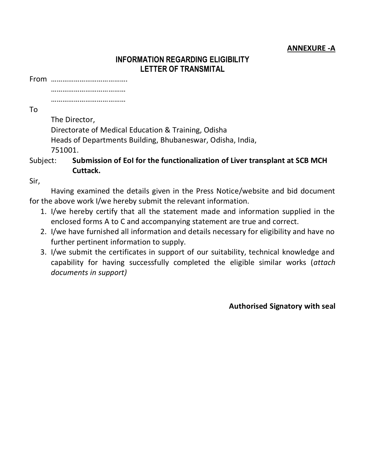#### **ANNEXURE -A**

#### **INFORMATION REGARDING ELIGIBILITY LETTER OF TRANSMITAL**

From ………………………………….

…………………………………… …………………………………

To

The Director, Directorate of Medical Education & Training, Odisha Heads of Departments Building, Bhubaneswar, Odisha, India, 751001.

### Subject: **Submission of EoI for the functionalization of Liver transplant at SCB MCH Cuttack.**

Sir,

Having examined the details given in the Press Notice/website and bid document for the above work I/we hereby submit the relevant information.

- 1. I/we hereby certify that all the statement made and information supplied in the enclosed forms A to C and accompanying statement are true and correct.
- 2. I/we have furnished all information and details necessary for eligibility and have no further pertinent information to supply.
- 3. I/we submit the certificates in support of our suitability, technical knowledge and capability for having successfully completed the eligible similar works (*attach documents in support)*

**Authorised Signatory with seal**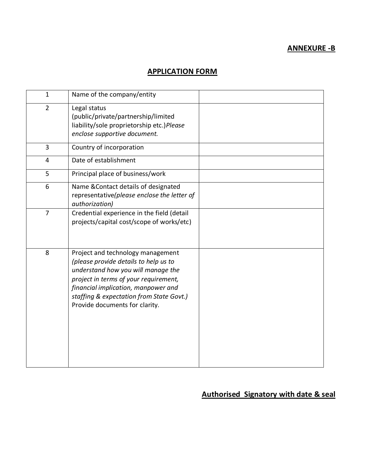#### **ANNEXURE -B**

#### **APPLICATION FORM**

| $\mathbf{1}$   | Name of the company/entity                                                                                                                                                                                                                                                     |  |
|----------------|--------------------------------------------------------------------------------------------------------------------------------------------------------------------------------------------------------------------------------------------------------------------------------|--|
| $\overline{2}$ | Legal status<br>(public/private/partnership/limited<br>liability/sole proprietorship etc.) Please<br>enclose supportive document.                                                                                                                                              |  |
| 3              | Country of incorporation                                                                                                                                                                                                                                                       |  |
| $\overline{4}$ | Date of establishment                                                                                                                                                                                                                                                          |  |
| 5              | Principal place of business/work                                                                                                                                                                                                                                               |  |
| 6              | Name & Contact details of designated<br>representative(please enclose the letter of<br>authorization)                                                                                                                                                                          |  |
| $\overline{7}$ | Credential experience in the field (detail<br>projects/capital cost/scope of works/etc)                                                                                                                                                                                        |  |
| 8              | Project and technology management<br>(please provide details to help us to<br>understand how you will manage the<br>project in terms of your requirement,<br>financial implication, manpower and<br>staffing & expectation from State Govt.)<br>Provide documents for clarity. |  |

## **Authorised Signatory with date & seal**